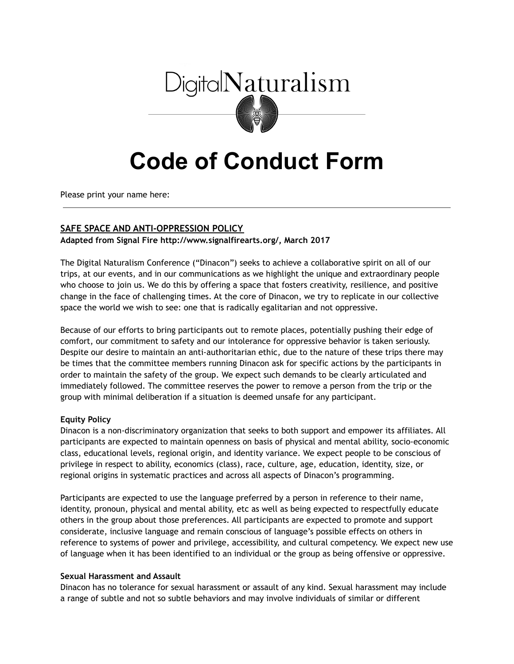

# **Code of Conduct Form**

Please print your name here:

# **SAFE SPACE AND ANTI-OPPRESSION POLICY**

**Adapted from Signal Fire http://www.signalfirearts.org/, March 2017**

The Digital Naturalism Conference ("Dinacon") seeks to achieve a collaborative spirit on all of our trips, at our events, and in our communications as we highlight the unique and extraordinary people who choose to join us. We do this by offering a space that fosters creativity, resilience, and positive change in the face of challenging times. At the core of Dinacon, we try to replicate in our collective space the world we wish to see: one that is radically egalitarian and not oppressive.

Because of our efforts to bring participants out to remote places, potentially pushing their edge of comfort, our commitment to safety and our intolerance for oppressive behavior is taken seriously. Despite our desire to maintain an anti-authoritarian ethic, due to the nature of these trips there may be times that the committee members running Dinacon ask for specific actions by the participants in order to maintain the safety of the group. We expect such demands to be clearly articulated and immediately followed. The committee reserves the power to remove a person from the trip or the group with minimal deliberation if a situation is deemed unsafe for any participant.

### **Equity Policy**

Dinacon is a non-discriminatory organization that seeks to both support and empower its affiliates. All participants are expected to maintain openness on basis of physical and mental ability, socio-economic class, educational levels, regional origin, and identity variance. We expect people to be conscious of privilege in respect to ability, economics (class), race, culture, age, education, identity, size, or regional origins in systematic practices and across all aspects of Dinacon's programming.

Participants are expected to use the language preferred by a person in reference to their name, identity, pronoun, physical and mental ability, etc as well as being expected to respectfully educate others in the group about those preferences. All participants are expected to promote and support considerate, inclusive language and remain conscious of language's possible effects on others in reference to systems of power and privilege, accessibility, and cultural competency. We expect new use of language when it has been identified to an individual or the group as being offensive or oppressive.

# **Sexual Harassment and Assault**

Dinacon has no tolerance for sexual harassment or assault of any kind. Sexual harassment may include a range of subtle and not so subtle behaviors and may involve individuals of similar or different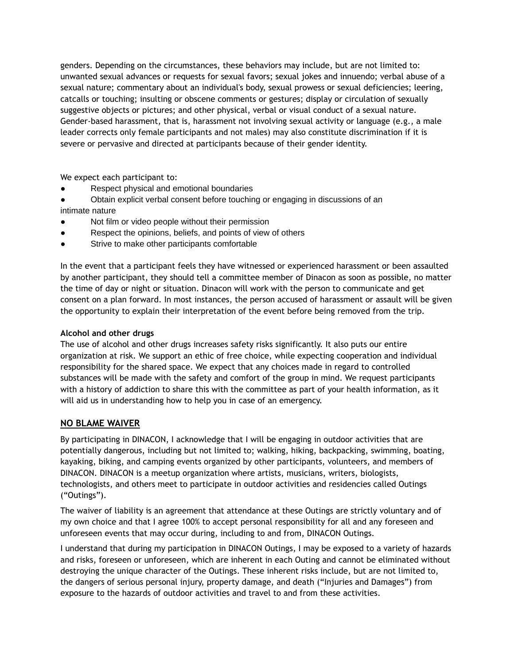genders. Depending on the circumstances, these behaviors may include, but are not limited to: unwanted sexual advances or requests for sexual favors; sexual jokes and innuendo; verbal abuse of a sexual nature; commentary about an individual's body, sexual prowess or sexual deficiencies; leering, catcalls or touching; insulting or obscene comments or gestures; display or circulation of sexually suggestive objects or pictures; and other physical, verbal or visual conduct of a sexual nature. Gender-based harassment, that is, harassment not involving sexual activity or language (e.g., a male leader corrects only female participants and not males) may also constitute discrimination if it is severe or pervasive and directed at participants because of their gender identity.

We expect each participant to:

- Respect physical and emotional boundaries
- Obtain explicit verbal consent before touching or engaging in discussions of an intimate nature
- Not film or video people without their permission
- Respect the opinions, beliefs, and points of view of others
- Strive to make other participants comfortable

In the event that a participant feels they have witnessed or experienced harassment or been assaulted by another participant, they should tell a committee member of Dinacon as soon as possible, no matter the time of day or night or situation. Dinacon will work with the person to communicate and get consent on a plan forward. In most instances, the person accused of harassment or assault will be given the opportunity to explain their interpretation of the event before being removed from the trip.

#### **Alcohol and other drugs**

The use of alcohol and other drugs increases safety risks significantly. It also puts our entire organization at risk. We support an ethic of free choice, while expecting cooperation and individual responsibility for the shared space. We expect that any choices made in regard to controlled substances will be made with the safety and comfort of the group in mind. We request participants with a history of addiction to share this with the committee as part of your health information, as it will aid us in understanding how to help you in case of an emergency.

### **NO BLAME WAIVER**

By participating in DINACON, I acknowledge that I will be engaging in outdoor activities that are potentially dangerous, including but not limited to; walking, hiking, backpacking, swimming, boating, kayaking, biking, and camping events organized by other participants, volunteers, and members of DINACON. DINACON is a meetup organization where artists, musicians, writers, biologists, technologists, and others meet to participate in outdoor activities and residencies called Outings ("Outings").

The waiver of liability is an agreement that attendance at these Outings are strictly voluntary and of my own choice and that I agree 100% to accept personal responsibility for all and any foreseen and unforeseen events that may occur during, including to and from, DINACON Outings.

I understand that during my participation in DINACON Outings, I may be exposed to a variety of hazards and risks, foreseen or unforeseen, which are inherent in each Outing and cannot be eliminated without destroying the unique character of the Outings. These inherent risks include, but are not limited to, the dangers of serious personal injury, property damage, and death ("Injuries and Damages") from exposure to the hazards of outdoor activities and travel to and from these activities.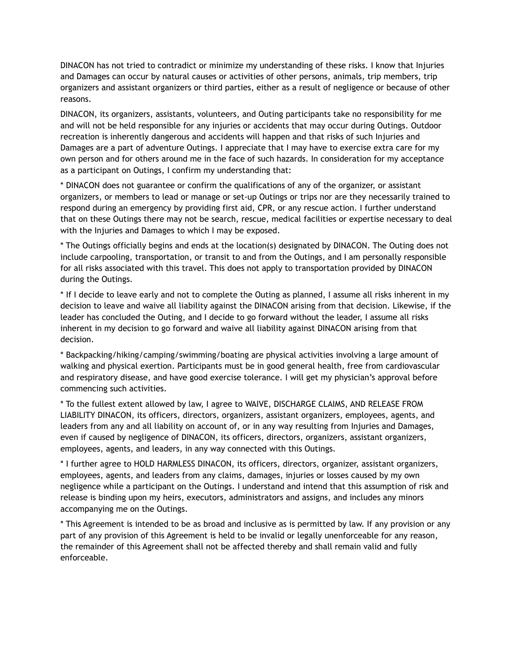DINACON has not tried to contradict or minimize my understanding of these risks. I know that Injuries and Damages can occur by natural causes or activities of other persons, animals, trip members, trip organizers and assistant organizers or third parties, either as a result of negligence or because of other reasons.

DINACON, its organizers, assistants, volunteers, and Outing participants take no responsibility for me and will not be held responsible for any injuries or accidents that may occur during Outings. Outdoor recreation is inherently dangerous and accidents will happen and that risks of such Injuries and Damages are a part of adventure Outings. I appreciate that I may have to exercise extra care for my own person and for others around me in the face of such hazards. In consideration for my acceptance as a participant on Outings, I confirm my understanding that:

\* DINACON does not guarantee or confirm the qualifications of any of the organizer, or assistant organizers, or members to lead or manage or set-up Outings or trips nor are they necessarily trained to respond during an emergency by providing first aid, CPR, or any rescue action. I further understand that on these Outings there may not be search, rescue, medical facilities or expertise necessary to deal with the Injuries and Damages to which I may be exposed.

\* The Outings officially begins and ends at the location(s) designated by DINACON. The Outing does not include carpooling, transportation, or transit to and from the Outings, and I am personally responsible for all risks associated with this travel. This does not apply to transportation provided by DINACON during the Outings.

\* If I decide to leave early and not to complete the Outing as planned, I assume all risks inherent in my decision to leave and waive all liability against the DINACON arising from that decision. Likewise, if the leader has concluded the Outing, and I decide to go forward without the leader, I assume all risks inherent in my decision to go forward and waive all liability against DINACON arising from that decision.

\* Backpacking/hiking/camping/swimming/boating are physical activities involving a large amount of walking and physical exertion. Participants must be in good general health, free from cardiovascular and respiratory disease, and have good exercise tolerance. I will get my physician's approval before commencing such activities.

\* To the fullest extent allowed by law, I agree to WAIVE, DISCHARGE CLAIMS, AND RELEASE FROM LIABILITY DINACON, its officers, directors, organizers, assistant organizers, employees, agents, and leaders from any and all liability on account of, or in any way resulting from Injuries and Damages, even if caused by negligence of DINACON, its officers, directors, organizers, assistant organizers, employees, agents, and leaders, in any way connected with this Outings.

\* I further agree to HOLD HARMLESS DINACON, its officers, directors, organizer, assistant organizers, employees, agents, and leaders from any claims, damages, injuries or losses caused by my own negligence while a participant on the Outings. I understand and intend that this assumption of risk and release is binding upon my heirs, executors, administrators and assigns, and includes any minors accompanying me on the Outings.

\* This Agreement is intended to be as broad and inclusive as is permitted by law. If any provision or any part of any provision of this Agreement is held to be invalid or legally unenforceable for any reason, the remainder of this Agreement shall not be affected thereby and shall remain valid and fully enforceable.